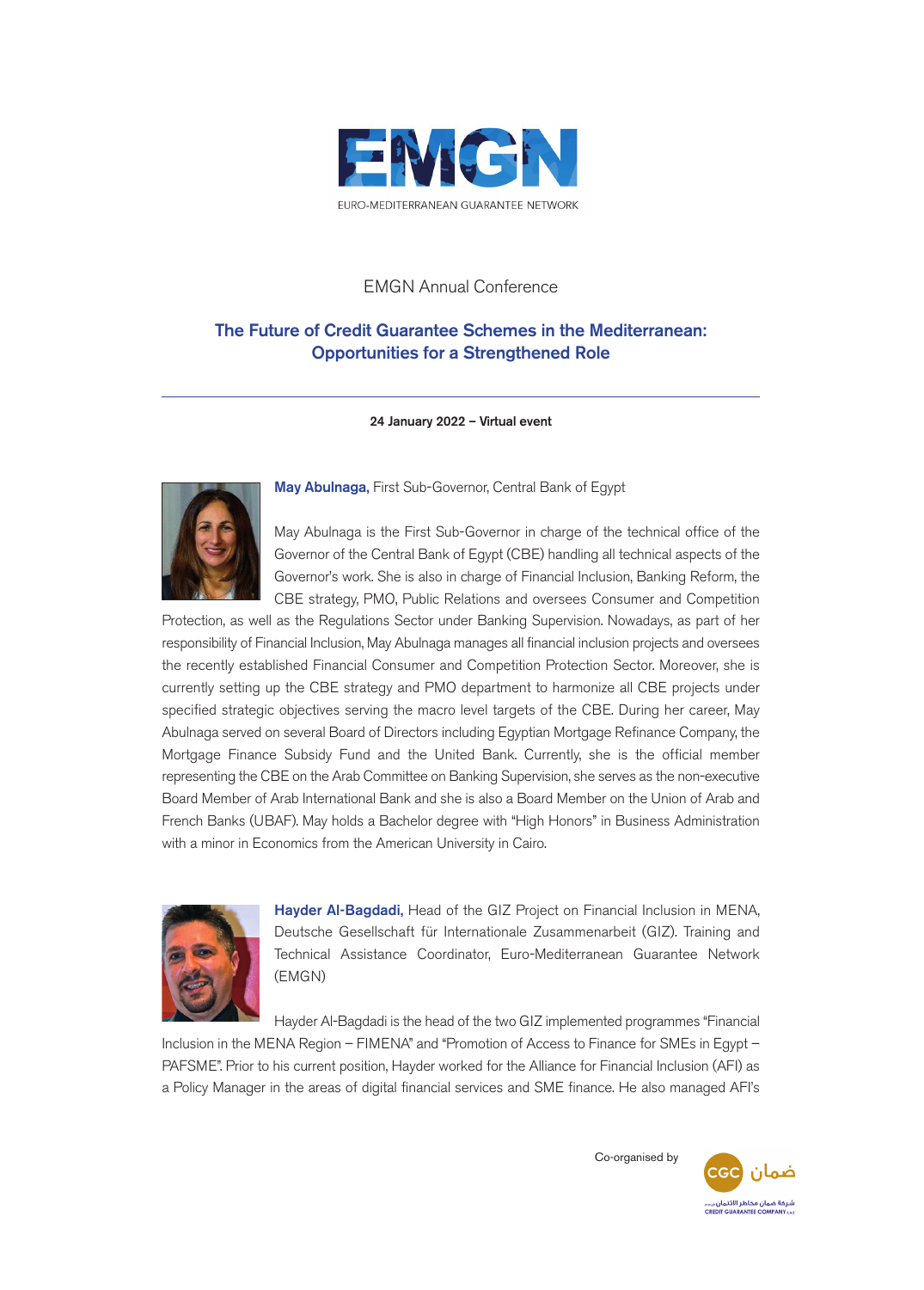

## EMGN Annual Conference

## **The Future of Credit Guarantee Schemes in the Mediterranean: Opportunities for a Strengthened Role**

**24 January 2022 – Virtual event**



**May Abulnaga,** First Sub-Governor, Central Bank of Egypt

May Abulnaga is the First Sub-Governor in charge of the technical office of the Governor of the Central Bank of Egypt (CBE) handling all technical aspects of the Governor's work. She is also in charge of Financial Inclusion, Banking Reform, the CBE strategy, PMO, Public Relations and oversees Consumer and Competition

Protection, as well as the Regulations Sector under Banking Supervision. Nowadays, as part of her responsibility of Financial Inclusion, May Abulnaga manages all financial inclusion projects and oversees the recently established Financial Consumer and Competition Protection Sector. Moreover, she is currently setting up the CBE strategy and PMO department to harmonize all CBE projects under specified strategic objectives serving the macro level targets of the CBE. During her career, May Abulnaga served on several Board of Directors including Egyptian Mortgage Refinance Company, the Mortgage Finance Subsidy Fund and the United Bank. Currently, she is the official member representing the CBE on the Arab Committee on Banking Supervision, she serves as the non-executive Board Member of Arab International Bank and she is also a Board Member on the Union of Arab and French Banks (UBAF). May holds a Bachelor degree with "High Honors" in Business Administration with a minor in Economics from the American University in Cairo.



**Hayder Al-Bagdadi,** Head of the GIZ Project on Financial Inclusion in MENA, Deutsche Gesellschaft für Internationale Zusammenarbeit (GIZ). Training and Technical Assistance Coordinator, Euro-Mediterranean Guarantee Network (EMGN)

Hayder Al-Bagdadi is the head of the two GIZ implemented programmes "Financial

Inclusion in the MENA Region – FIMENA" and "Promotion of Access to Finance for SMEs in Egypt – PAFSME". Prior to his current position, Hayder worked for the Alliance for Financial Inclusion (AFI) as a Policy Manager in the areas of digital financial services and SME finance. He also managed AFI's

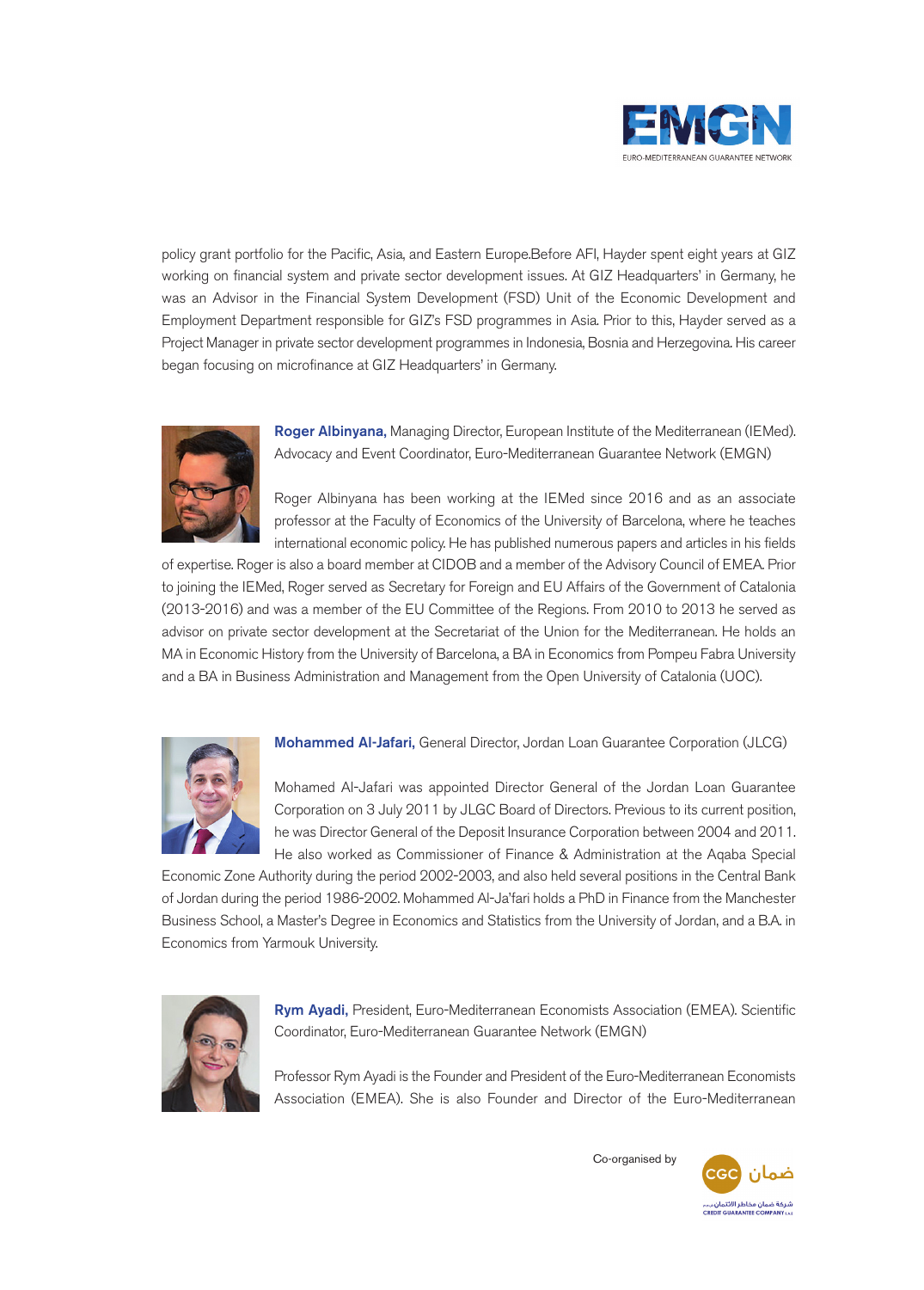

policy grant portfolio for the Pacific, Asia, and Eastern Europe.Before AFI, Hayder spent eight years at GIZ working on financial system and private sector development issues. At GIZ Headquarters' in Germany, he was an Advisor in the Financial System Development (FSD) Unit of the Economic Development and Employment Department responsible for GIZ's FSD programmes in Asia. Prior to this, Hayder served as a Project Manager in private sector development programmes in Indonesia, Bosnia and Herzegovina. His career began focusing on microfinance at GIZ Headquarters' in Germany.



**Roger Albinyana,** Managing Director, European Institute of the Mediterranean (IEMed). Advocacy and Event Coordinator, Euro-Mediterranean Guarantee Network (EMGN)

Roger Albinyana has been working at the IEMed since 2016 and as an associate professor at the Faculty of Economics of the University of Barcelona, where he teaches international economic policy. He has published numerous papers and articles in his fields

of expertise. Roger is also a board member at CIDOB and a member of the Advisory Council of EMEA. Prior to joining the IEMed, Roger served as Secretary for Foreign and EU Affairs of the Government of Catalonia (2013-2016) and was a member of the EU Committee of the Regions. From 2010 to 2013 he served as advisor on private sector development at the Secretariat of the Union for the Mediterranean. He holds an MA in Economic History from the University of Barcelona, a BA in Economics from Pompeu Fabra University and a BA in Business Administration and Management from the Open University of Catalonia (UOC).



**Mohammed Al-Jafari,** General Director, Jordan Loan Guarantee Corporation (JLCG)

Mohamed Al-Jafari was appointed Director General of the Jordan Loan Guarantee Corporation on 3 July 2011 by JLGC Board of Directors. Previous to its current position, he was Director General of the Deposit Insurance Corporation between 2004 and 2011. He also worked as Commissioner of Finance & Administration at the Aqaba Special

Economic Zone Authority during the period 2002-2003, and also held several positions in the Central Bank of Jordan during the period 1986-2002. Mohammed Al-Ja'fari holds a PhD in Finance from the Manchester Business School, a Master's Degree in Economics and Statistics from the University of Jordan, and a B.A. in Economics from Yarmouk University.



**Rym Ayadi,** President, Euro-Mediterranean Economists Association (EMEA). Scientific Coordinator, Euro-Mediterranean Guarantee Network (EMGN)

Professor Rym Ayadi is the Founder and President of the Euro-Mediterranean Economists Association (EMEA). She is also Founder and Director of the Euro-Mediterranean

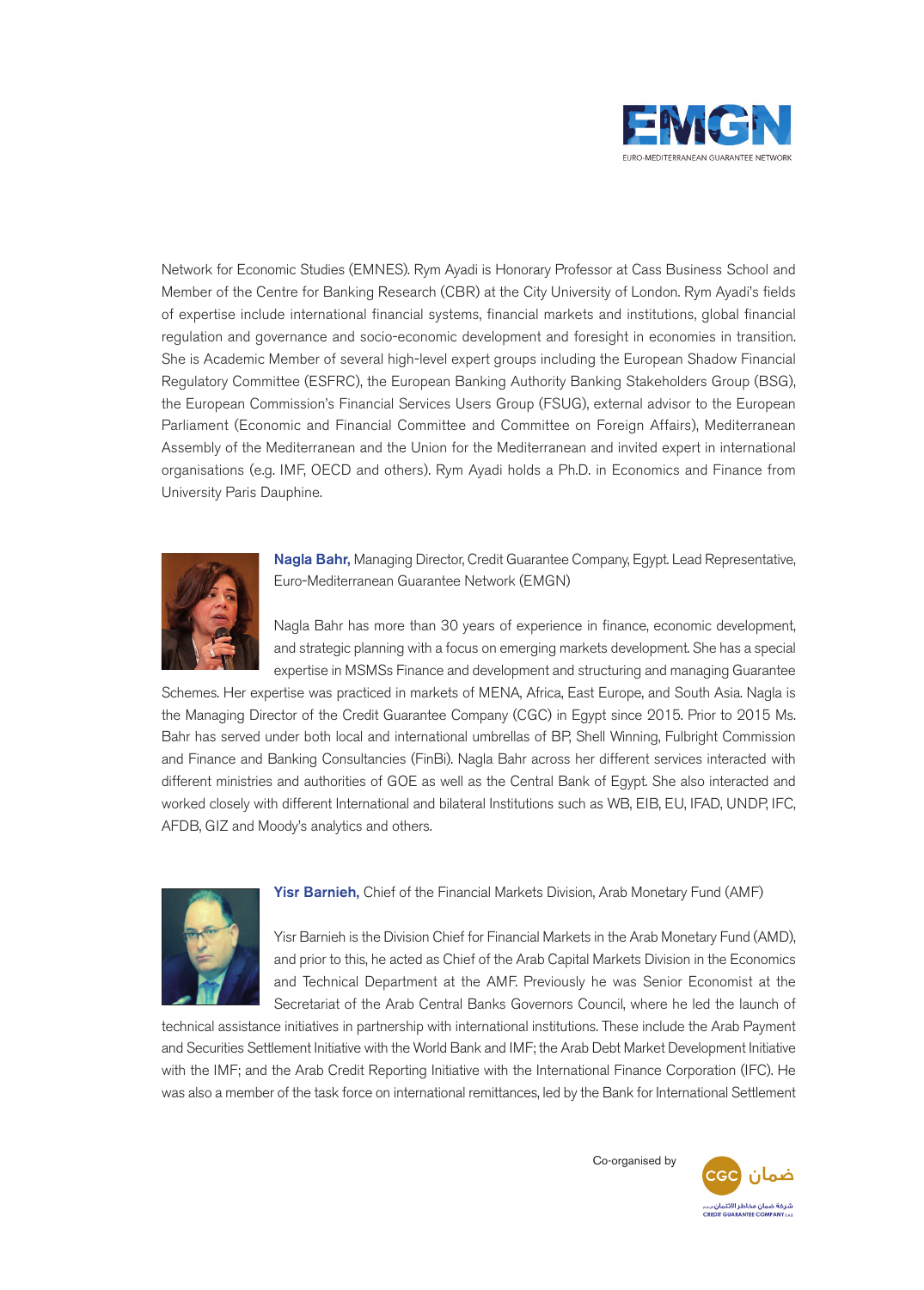

Network for Economic Studies (EMNES). Rym Ayadi is Honorary Professor at Cass Business School and Member of the Centre for Banking Research (CBR) at the City University of London. Rym Ayadi's fields of expertise include international financial systems, financial markets and institutions, global financial regulation and governance and socio-economic development and foresight in economies in transition. She is Academic Member of several high-level expert groups including the European Shadow Financial Regulatory Committee (ESFRC), the European Banking Authority Banking Stakeholders Group (BSG), the European Commission's Financial Services Users Group (FSUG), external advisor to the European Parliament (Economic and Financial Committee and Committee on Foreign Affairs), Mediterranean Assembly of the Mediterranean and the Union for the Mediterranean and invited expert in international organisations (e.g. IMF, OECD and others). Rym Ayadi holds a Ph.D. in Economics and Finance from University Paris Dauphine.



**Nagla Bahr,** Managing Director, Credit Guarantee Company, Egypt. Lead Representative, Euro-Mediterranean Guarantee Network (EMGN)

Nagla Bahr has more than 30 years of experience in finance, economic development, and strategic planning with a focus on emerging markets development. She has a special expertise in MSMSs Finance and development and structuring and managing Guarantee

Schemes. Her expertise was practiced in markets of MENA, Africa, East Europe, and South Asia. Nagla is the Managing Director of the Credit Guarantee Company (CGC) in Egypt since 2015. Prior to 2015 Ms. Bahr has served under both local and international umbrellas of BP, Shell Winning, Fulbright Commission and Finance and Banking Consultancies (FinBi). Nagla Bahr across her different services interacted with different ministries and authorities of GOE as well as the Central Bank of Egypt. She also interacted and worked closely with different International and bilateral Institutions such as WB, EIB, EU, IFAD, UNDP, IFC, AFDB, GIZ and Moody's analytics and others.



**Yisr Barnieh,** Chief of the Financial Markets Division, Arab Monetary Fund (AMF)

Yisr Barnieh is the Division Chief for Financial Markets in the Arab Monetary Fund (AMD), and prior to this, he acted as Chief of the Arab Capital Markets Division in the Economics and Technical Department at the AMF. Previously he was Senior Economist at the Secretariat of the Arab Central Banks Governors Council, where he led the launch of

technical assistance initiatives in partnership with international institutions. These include the Arab Payment and Securities Settlement Initiative with the World Bank and IMF; the Arab Debt Market Development Initiative with the IMF; and the Arab Credit Reporting Initiative with the International Finance Corporation (IFC). He was also a member of the task force on international remittances, led by the Bank for International Settlement

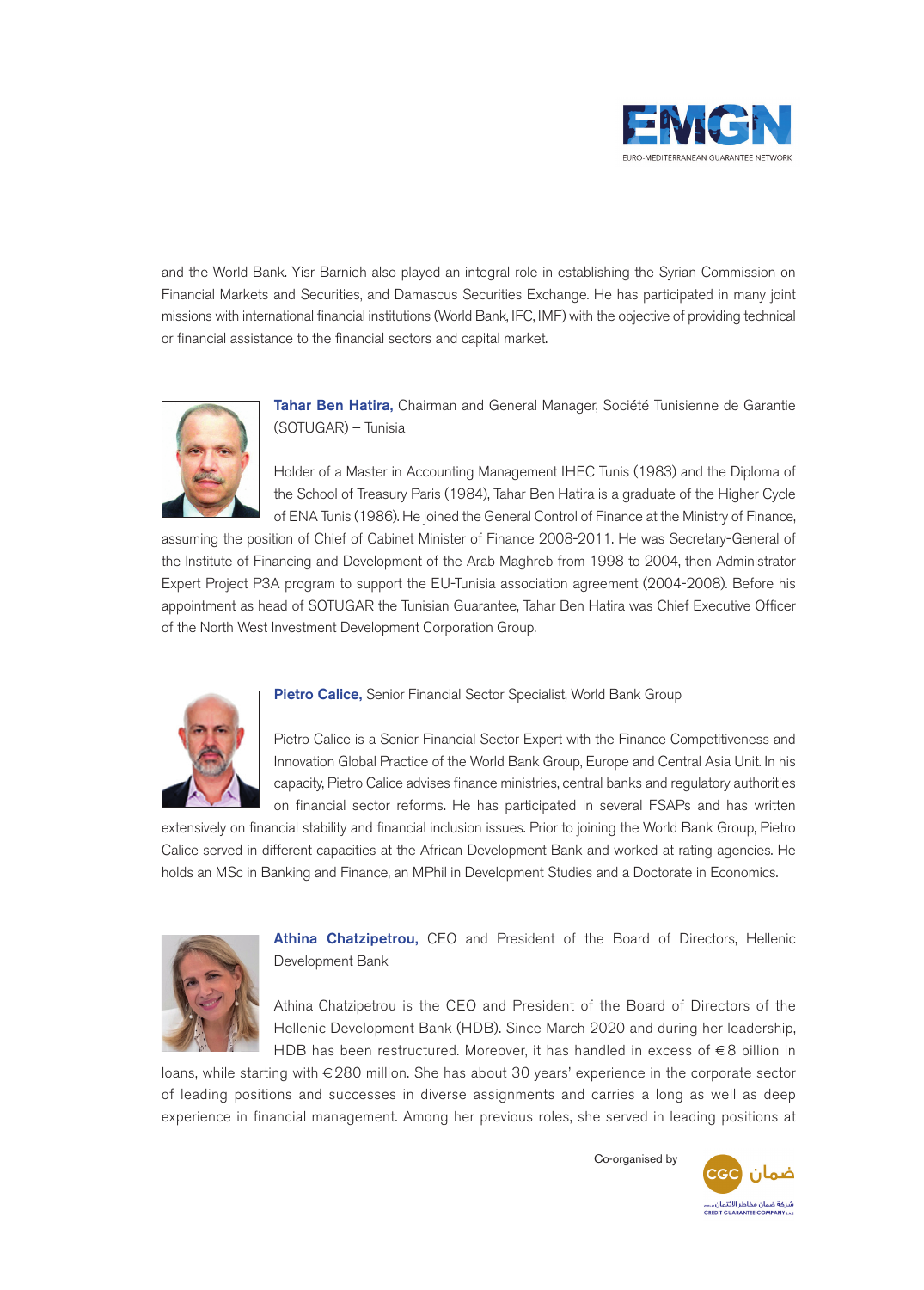

and the World Bank. Yisr Barnieh also played an integral role in establishing the Syrian Commission on Financial Markets and Securities, and Damascus Securities Exchange. He has participated in many joint missions with international financial institutions (World Bank, IFC, IMF) with the objective of providing technical or financial assistance to the financial sectors and capital market.



**Tahar Ben Hatira,** Chairman and General Manager, Société Tunisienne de Garantie (SOTUGAR) – Tunisia

Holder of a Master in Accounting Management IHEC Tunis (1983) and the Diploma of the School of Treasury Paris (1984), Tahar Ben Hatira is a graduate of the Higher Cycle of ENA Tunis (1986). He joined the General Control of Finance at the Ministry of Finance,

assuming the position of Chief of Cabinet Minister of Finance 2008-2011. He was Secretary-General of the Institute of Financing and Development of the Arab Maghreb from 1998 to 2004, then Administrator Expert Project P3A program to support the EU-Tunisia association agreement (2004-2008). Before his appointment as head of SOTUGAR the Tunisian Guarantee, Tahar Ben Hatira was Chief Executive Officer of the North West Investment Development Corporation Group.



## **Pietro Calice,** Senior Financial Sector Specialist, World Bank Group

Pietro Calice is a Senior Financial Sector Expert with the Finance Competitiveness and Innovation Global Practice of the World Bank Group, Europe and Central Asia Unit. In his capacity, Pietro Calice advises finance ministries, central banks and regulatory authorities on financial sector reforms. He has participated in several FSAPs and has written

extensively on financial stability and financial inclusion issues. Prior to joining the World Bank Group, Pietro Calice served in different capacities at the African Development Bank and worked at rating agencies. He holds an MSc in Banking and Finance, an MPhil in Development Studies and a Doctorate in Economics.



**Athina Chatzipetrou,** CEO and President of the Board of Directors, Hellenic Development Bank

Athina Chatzipetrou is the CEO and President of the Board of Directors of the Hellenic Development Bank (HDB). Since March 2020 and during her leadership, HDB has been restructured. Moreover, it has handled in excess of €8 billion in

loans, while starting with €280 million. She has about 30 years' experience in the corporate sector of leading positions and successes in diverse assignments and carries a long as well as deep experience in financial management. Among her previous roles, she served in leading positions at

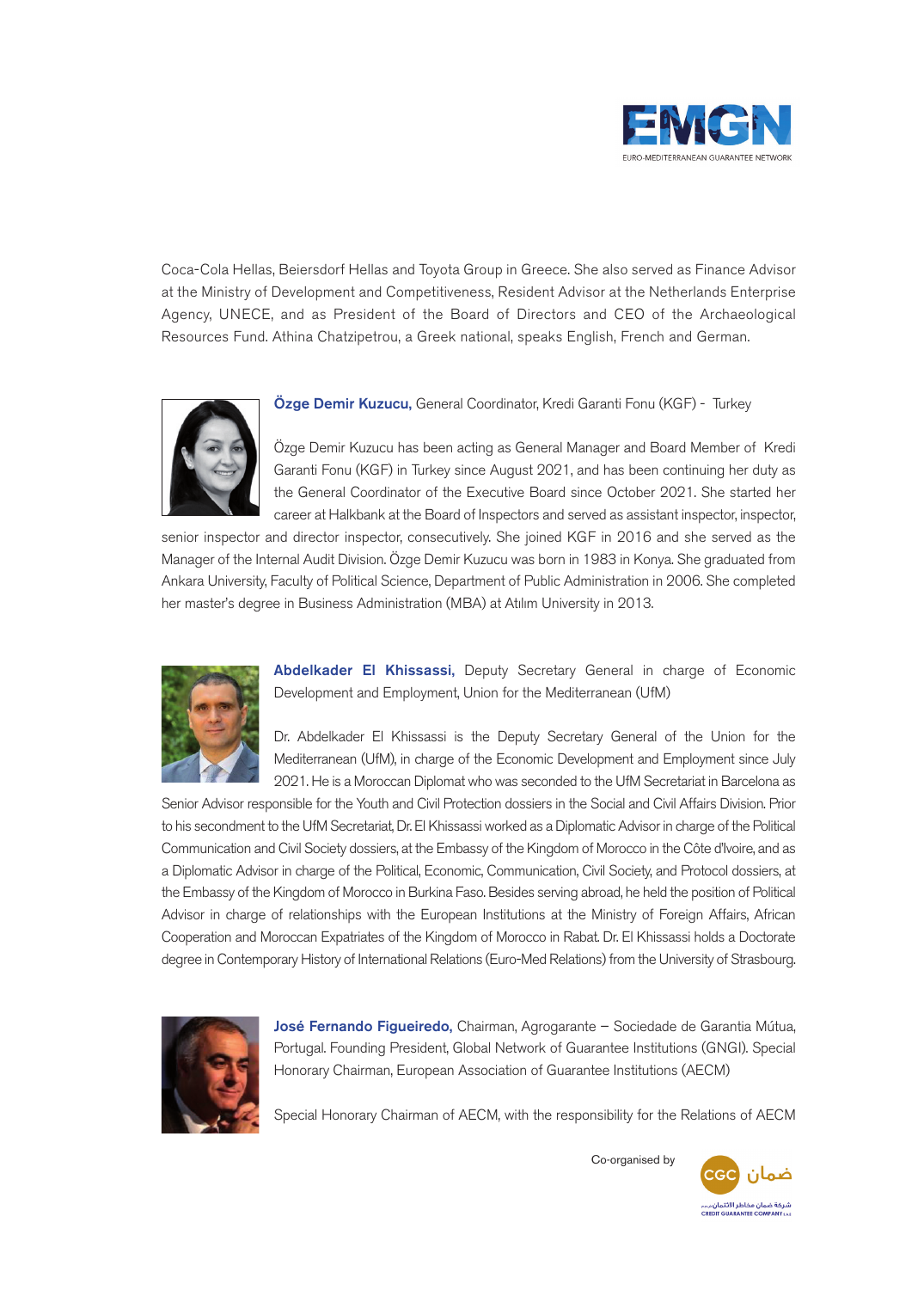

Coca-Cola Hellas, Beiersdorf Hellas and Toyota Group in Greece. She also served as Finance Advisor at the Ministry of Development and Competitiveness, Resident Advisor at the Netherlands Enterprise Agency, UNECE, and as President of the Board of Directors and CEO of the Archaeological Resources Fund. Athina Chatzipetrou, a Greek national, speaks English, French and German.



**Özge Demir Kuzucu,** General Coordinator, Kredi Garanti Fonu (KGF) - Turkey

Özge Demir Kuzucu has been acting as General Manager and Board Member of Kredi Garanti Fonu (KGF) in Turkey since August 2021, and has been continuing her duty as the General Coordinator of the Executive Board since October 2021. She started her career at Halkbank at the Board of Inspectors and served as assistant inspector, inspector,

senior inspector and director inspector, consecutively. She joined KGF in 2016 and she served as the Manager of the Internal Audit Division. Özge Demir Kuzucu was born in 1983 in Konya. She graduated from Ankara University, Faculty of Political Science, Department of Public Administration in 2006. She completed her master's degree in Business Administration (MBA) at Atılım University in 2013.



**Abdelkader El Khissassi,** Deputy Secretary General in charge of Economic Development and Employment, Union for the Mediterranean (UfM)

Dr. Abdelkader El Khissassi is the Deputy Secretary General of the Union for the Mediterranean (UfM), in charge of the Economic Development and Employment since July 2021. He is a Moroccan Diplomat who was seconded to the UfM Secretariat in Barcelona as

Senior Advisor responsible for the Youth and Civil Protection dossiers in the Social and Civil Affairs Division. Prior to his secondment to the UfM Secretariat, Dr. El Khissassi worked as a Diplomatic Advisor in charge of the Political Communication and Civil Society dossiers, at the Embassy of the Kingdom of Morocco in the Côte d'Ivoire, and as a Diplomatic Advisor in charge of the Political, Economic, Communication, Civil Society, and Protocol dossiers, at the Embassy of the Kingdom of Morocco in Burkina Faso. Besides serving abroad, he held the position of Political Advisor in charge of relationships with the European Institutions at the Ministry of Foreign Affairs, African Cooperation and Moroccan Expatriates of the Kingdom of Morocco in Rabat. Dr. El Khissassi holds a Doctorate degree in Contemporary History of International Relations (Euro-Med Relations) from the University of Strasbourg.



**José Fernando Figueiredo,** Chairman, Agrogarante – Sociedade de Garantia Mútua, Portugal. Founding President, Global Network of Guarantee Institutions (GNGI). Special Honorary Chairman, European Association of Guarantee Institutions (AECM)

Special Honorary Chairman of AECM, with the responsibility for the Relations of AECM

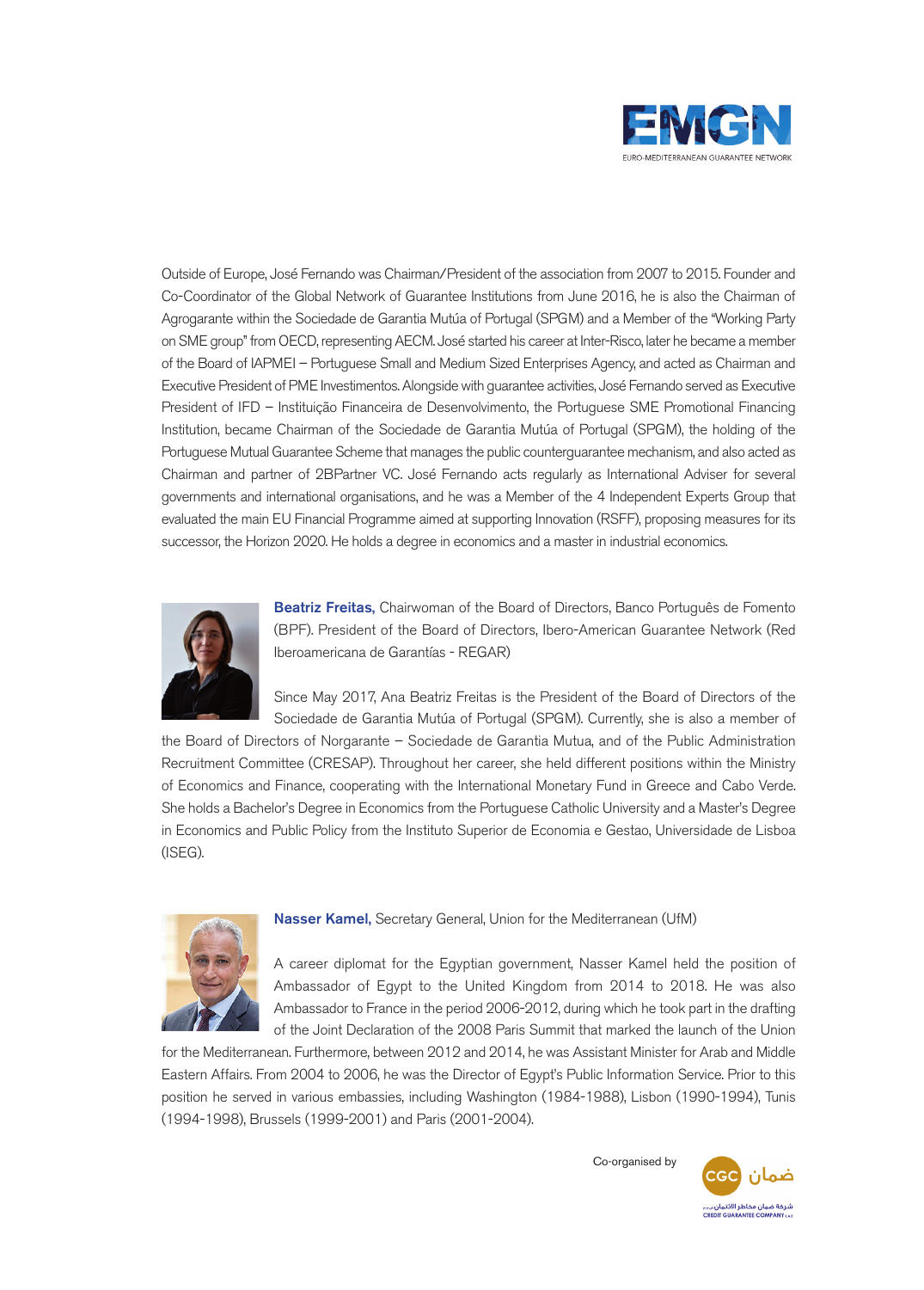

Outside of Europe, José Fernando was Chairman/President of the association from 2007 to 2015. Founder and Co-Coordinator of the Global Network of Guarantee Institutions from June 2016, he is also the Chairman of Agrogarante within the Sociedade de Garantia Mutúa of Portugal (SPGM) and a Member of the "Working Party on SME group" from OECD, representing AECM. José started his career at Inter-Risco, later he became a member of the Board of IAPMEI – Portuguese Small and Medium Sized Enterprises Agency, and acted as Chairman and Executive President of PME Investimentos. Alongside with guarantee activities, José Fernando served as Executive President of IFD – Instituição Financeira de Desenvolvimento, the Portuguese SME Promotional Financing Institution, became Chairman of the Sociedade de Garantia Mutúa of Portugal (SPGM), the holding of the Portuguese Mutual Guarantee Scheme that manages the public counterguarantee mechanism, and also acted as Chairman and partner of 2BPartner VC. José Fernando acts regularly as International Adviser for several governments and international organisations, and he was a Member of the 4 Independent Experts Group that evaluated the main EU Financial Programme aimed at supporting Innovation (RSFF), proposing measures for its successor, the Horizon 2020. He holds a degree in economics and a master in industrial economics.



**Beatriz Freitas,** Chairwoman of the Board of Directors, Banco Português de Fomento (BPF). President of the Board of Directors, Ibero-American Guarantee Network (Red Iberoamericana de Garantías - REGAR)

Since May 2017, Ana Beatriz Freitas is the President of the Board of Directors of the Sociedade de Garantia Mutúa of Portugal (SPGM). Currently, she is also a member of

the Board of Directors of Norgarante – Sociedade de Garantia Mutua, and of the Public Administration Recruitment Committee (CRESAP). Throughout her career, she held different positions within the Ministry of Economics and Finance, cooperating with the International Monetary Fund in Greece and Cabo Verde. She holds a Bachelor's Degree in Economics from the Portuguese Catholic University and a Master's Degree in Economics and Public Policy from the Instituto Superior de Economia e Gestao, Universidade de Lisboa (ISEG).



**Nasser Kamel,** Secretary General, Union for the Mediterranean (UfM)

A career diplomat for the Egyptian government, Nasser Kamel held the position of Ambassador of Egypt to the United Kingdom from 2014 to 2018. He was also Ambassador to France in the period 2006-2012, during which he took part in the drafting of the Joint Declaration of the 2008 Paris Summit that marked the launch of the Union

for the Mediterranean. Furthermore, between 2012 and 2014, he was Assistant Minister for Arab and Middle Eastern Affairs. From 2004 to 2006, he was the Director of Egypt's Public Information Service. Prior to this position he served in various embassies, including Washington (1984-1988), Lisbon (1990-1994), Tunis (1994-1998), Brussels (1999-2001) and Paris (2001-2004).